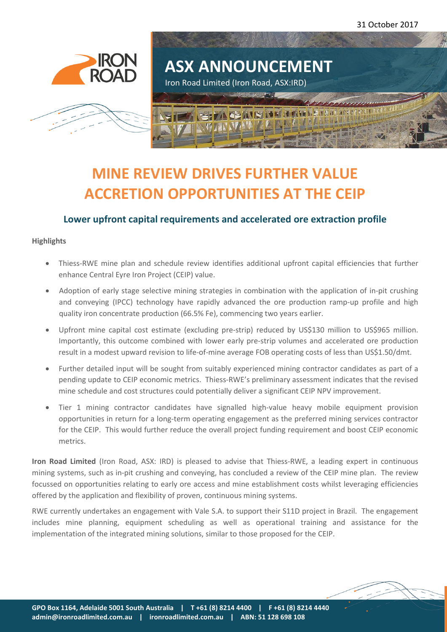31 October 2017





# **MINE REVIEW DRIVES FURTHER VALUE ACCRETION OPPORTUNITIES AT THE CEIP**

# **Lower upfront capital requirements and accelerated ore extraction profile**

## **Highlights**

- Thiess-RWE mine plan and schedule review identifies additional upfront capital efficiencies that further enhance Central Eyre Iron Project (CEIP) value.
- Adoption of early stage selective mining strategies in combination with the application of in-pit crushing and conveying (IPCC) technology have rapidly advanced the ore production ramp-up profile and high quality iron concentrate production (66.5% Fe), commencing two years earlier.
- Upfront mine capital cost estimate (excluding pre-strip) reduced by US\$130 million to US\$965 million. Importantly, this outcome combined with lower early pre-strip volumes and accelerated ore production result in a modest upward revision to life-of-mine average FOB operating costs of less than US\$1.50/dmt.
- Further detailed input will be sought from suitably experienced mining contractor candidates as part of a pending update to CEIP economic metrics. Thiess-RWE's preliminary assessment indicates that the revised mine schedule and cost structures could potentially deliver a significant CEIP NPV improvement.
- Tier 1 mining contractor candidates have signalled high-value heavy mobile equipment provision opportunities in return for a long-term operating engagement as the preferred mining services contractor for the CEIP. This would further reduce the overall project funding requirement and boost CEIP economic metrics.

**Iron Road Limited** (Iron Road, ASX: IRD) is pleased to advise that Thiess-RWE, a leading expert in continuous mining systems, such as in-pit crushing and conveying, has concluded a review of the CEIP mine plan. The review focussed on opportunities relating to early ore access and mine establishment costs whilst leveraging efficiencies offered by the application and flexibility of proven, continuous mining systems.

RWE currently undertakes an engagement with Vale S.A. to support their S11D project in Brazil. The engagement includes mine planning, equipment scheduling as well as operational training and assistance for the implementation of the integrated mining solutions, similar to those proposed for the CEIP.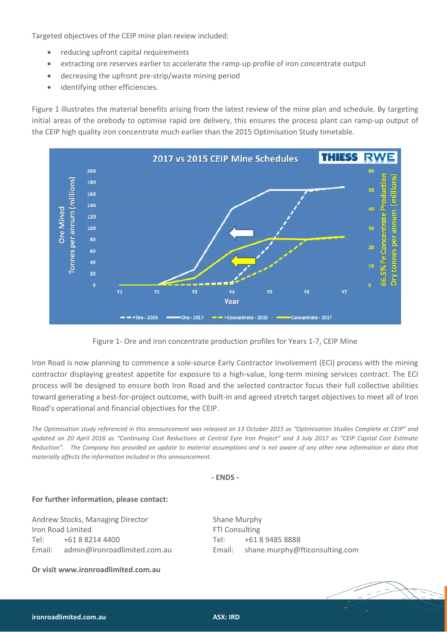Targeted objectives of the CEIP mine plan review included:

- reducing upfront capital requirements
- extracting ore reserves earlier to accelerate the ramp-up profile of iron concentrate output
- decreasing the upfront pre-strip/waste mining period
- identifying other efficiencies.

Figure 1 illustrates the material benefits arising from the latest review of the mine plan and schedule. By targeting initial areas of the orebody to optimise rapid ore delivery, this ensures the process plant can ramp-up output of the CEIP high quality iron concentrate much earlier than the 2015 Optimisation Study timetable.



Figure 1- Ore and iron concentrate production profiles for Years 1-7, CEIP Mine

Iron Road is now planning to commence a sole-source Early Contractor Involvement (ECI) process with the mining contractor displaying greatest appetite for exposure to a high-value, long-term mining services contract. The ECI process will be designed to ensure both Iron Road and the selected contractor focus their full collective abilities toward generating a best-for-project outcome, with built-in and agreed stretch target objectives to meet all of Iron Road's operational and financial objectives for the CEIP.

*The Optimisation study referenced in this announcement was released on 13 October 2015 as "Optimisation Studies Complete at CEIP" and updated on 20 April 2016 as "Continuing Cost Reductions at Central Eyre Iron Project" and 3 July 2017 as "CEIP Capital Cost Estimate Reduction". The Company has provided an update to material assumptions and is not aware of any other new information or data that materially affects the information included in this announcement.*

#### **- ENDS -**

#### **For further information, please contact:**

Andrew Stocks, Managing Director Shane Murphy Iron Road Limited **FTI** Consulting Tel: +61 8 8214 4400 Tel: +61 8 9485 8888 Email: [admin@ironroadlimited.com.au](mailto:admin@ironroadlimited.com.au) Email: [shane.murphy@fticonsulting.com](mailto:shane.murphy@fticonsulting.com)

**Or visi[t www.ironroadlimited.com.au](http://www.ironroadlimited.com.au/)**